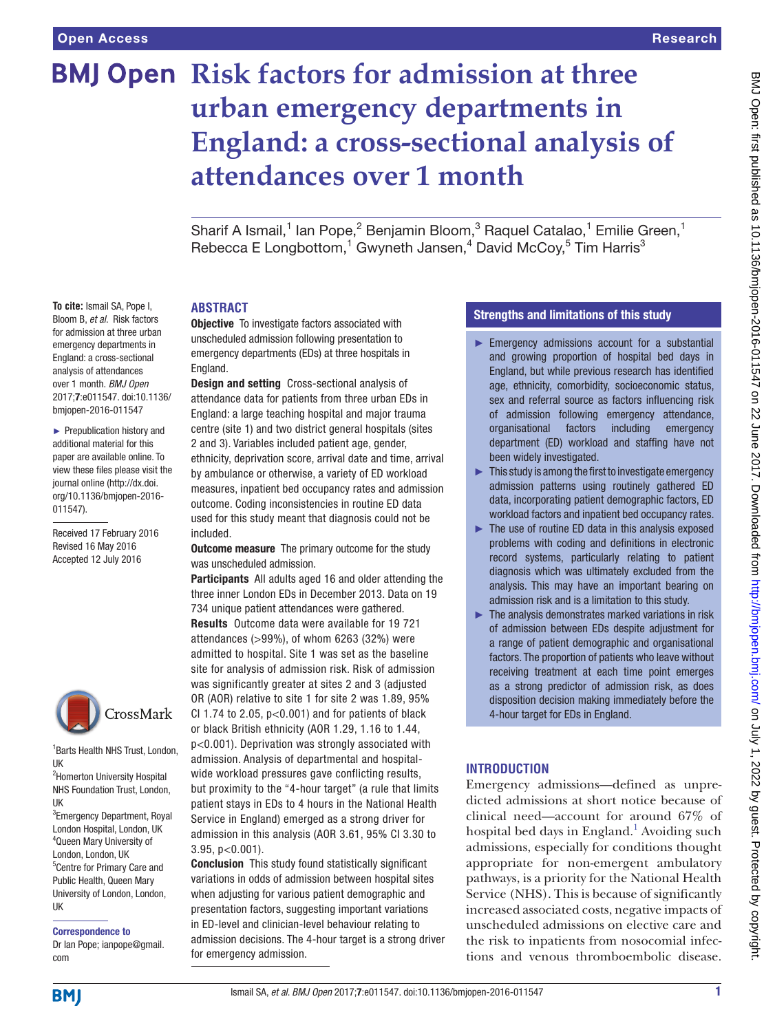# **BMJ Open Risk factors for admission at three urban emergency departments in England: a cross-sectional analysis of attendances over 1 month**

Sharif A Ismail,<sup>1</sup> Ian Pope,<sup>2</sup> Benjamin Bloom,<sup>3</sup> Raquel Catalao,<sup>1</sup> Emilie Green,<sup>1</sup> Rebecca E Longbottom,<sup>1</sup> Gwyneth Jansen,<sup>4</sup> David McCoy,<sup>5</sup> Tim Harris<sup>3</sup>

#### **Abstract**

England. Bloom B, *et al*. Risk factors for admission at three urban emergency departments in England: a cross-sectional analysis of attendances over 1 month. *BMJ Open*

bmjopen-2016-011547 ► Prepublication history and additional material for this paper are available online. To view these files please visit the journal online [\(http://dx.doi.](http://dx.doi.org/10.1136/bmjopen-2016-011547) [org/10.1136/bmjopen-2016-](http://dx.doi.org/10.1136/bmjopen-2016-011547) [011547\)](http://dx.doi.org/10.1136/bmjopen-2016-011547).

2017;7:e011547. doi:10.1136/

**To cite:** Ismail SA, Pope I,

Received 17 February 2016 Revised 16 May 2016 Accepted 12 July 2016



1 Barts Health NHS Trust, London, UK

<sup>2</sup>Homerton University Hospital NHS Foundation Trust, London, UK

3 Emergency Department, Royal London Hospital, London, UK 4 Queen Mary University of London, London, UK 5 Centre for Primary Care and Public Health, Queen Mary University of London, London, UK

Correspondence to

Dr Ian Pope; ianpope@gmail. com

**Objective** To investigate factors associated with unscheduled admission following presentation to emergency departments (EDs) at three hospitals in

Design and setting Cross-sectional analysis of attendance data for patients from three urban EDs in England: a large teaching hospital and major trauma centre (site 1) and two district general hospitals (sites 2 and 3). Variables included patient age, gender, ethnicity, deprivation score, arrival date and time, arrival by ambulance or otherwise, a variety of ED workload measures, inpatient bed occupancy rates and admission outcome. Coding inconsistencies in routine ED data used for this study meant that diagnosis could not be included.

**Outcome measure** The primary outcome for the study was unscheduled admission.

Participants All adults aged 16 and older attending the three inner London EDs in December 2013. Data on 19 734 unique patient attendances were gathered. Results Outcome data were available for 19 721 attendances (>99%), of whom 6263 (32%) were admitted to hospital. Site 1 was set as the baseline site for analysis of admission risk. Risk of admission was significantly greater at sites 2 and 3 (adjusted OR (AOR) relative to site 1 for site 2 was 1.89, 95% CI 1.74 to 2.05,  $p<0.001$ ) and for patients of black or black British ethnicity (AOR 1.29, 1.16 to 1.44, p<0.001). Deprivation was strongly associated with admission. Analysis of departmental and hospitalwide workload pressures gave conflicting results, but proximity to the "4-hour target" (a rule that limits patient stays in EDs to 4 hours in the National Health Service in England) emerged as a strong driver for admission in this analysis (AOR 3.61, 95% CI 3.30 to 3.95, p<0.001).

Conclusion This study found statistically significant variations in odds of admission between hospital sites when adjusting for various patient demographic and presentation factors, suggesting important variations in ED-level and clinician-level behaviour relating to admission decisions. The 4-hour target is a strong driver for emergency admission.

#### Strengths and limitations of this study

- ► Emergency admissions account for a substantial and growing proportion of hospital bed days in England, but while previous research has identified age, ethnicity, comorbidity, socioeconomic status, sex and referral source as factors influencing risk of admission following emergency attendance, organisational factors including emergency department (ED) workload and staffing have not been widely investigated.
- $\blacktriangleright$  This study is among the first to investigate emergency admission patterns using routinely gathered ED data, incorporating patient demographic factors, ED workload factors and inpatient bed occupancy rates.
- $\blacktriangleright$  The use of routine ED data in this analysis exposed problems with coding and definitions in electronic record systems, particularly relating to patient diagnosis which was ultimately excluded from the analysis. This may have an important bearing on admission risk and is a limitation to this study.
- $\blacktriangleright$  The analysis demonstrates marked variations in risk of admission between EDs despite adjustment for a range of patient demographic and organisational factors. The proportion of patients who leave without receiving treatment at each time point emerges as a strong predictor of admission risk, as does disposition decision making immediately before the 4-hour target for EDs in England.

## **Introduction**

Emergency admissions—defined as unpredicted admissions at short notice because of clinical need—account for around 67% of hospital bed days in England.<sup>[1](#page-8-0)</sup> Avoiding such admissions, especially for conditions thought appropriate for non-emergent ambulatory pathways, is a priority for the National Health Service (NHS). This is because of significantly increased associated costs, negative impacts of unscheduled admissions on elective care and the risk to inpatients from nosocomial infections and venous thromboembolic disease.

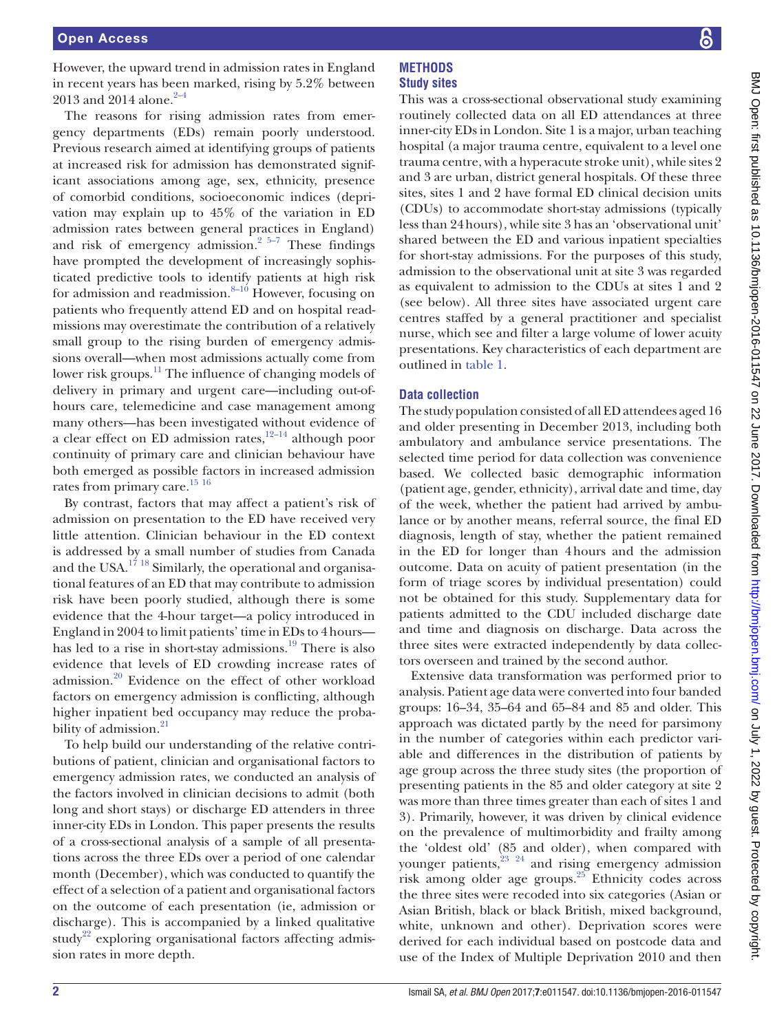However, the upward trend in admission rates in England in recent years has been marked, rising by 5.2% between 2013 and 2014 alone. $2^{-4}$ 

The reasons for rising admission rates from emergency departments (EDs) remain poorly understood. Previous research aimed at identifying groups of patients at increased risk for admission has demonstrated significant associations among age, sex, ethnicity, presence of comorbid conditions, socioeconomic indices (deprivation may explain up to 45% of the variation in ED admission rates between general practices in England) and risk of emergency admission.<sup>2 5-7</sup> These findings have prompted the development of increasingly sophisticated predictive tools to identify patients at high risk for admission and readmission. $8-10$  However, focusing on patients who frequently attend ED and on hospital readmissions may overestimate the contribution of a relatively small group to the rising burden of emergency admissions overall—when most admissions actually come from lower risk groups.<sup>11</sup> The influence of changing models of delivery in primary and urgent care—including out-ofhours care, telemedicine and case management among many others—has been investigated without evidence of a clear effect on ED admission rates, $12-14$  although poor continuity of primary care and clinician behaviour have both emerged as possible factors in increased admission rates from primary care.<sup>[15](#page-8-5) [16](#page-8-6)</sup>

By contrast, factors that may affect a patient's risk of admission on presentation to the ED have received very little attention. Clinician behaviour in the ED context is addressed by a small number of studies from Canada and the USA.<sup>[17](#page-8-7) 18</sup> Similarly, the operational and organisational features of an ED that may contribute to admission risk have been poorly studied, although there is some evidence that the 4-hour target—a policy introduced in England in 2004 to limit patients' time in EDs to 4hours— has led to a rise in short-stay admissions.<sup>[19](#page-8-9)</sup> There is also evidence that levels of ED crowding increase rates of admission.[20](#page-8-10) Evidence on the effect of other workload factors on emergency admission is conflicting, although higher inpatient bed occupancy may reduce the probability of admission. $21$ 

To help build our understanding of the relative contributions of patient, clinician and organisational factors to emergency admission rates, we conducted an analysis of the factors involved in clinician decisions to admit (both long and short stays) or discharge ED attenders in three inner-city EDs in London. This paper presents the results of a cross-sectional analysis of a sample of all presentations across the three EDs over a period of one calendar month (December), which was conducted to quantify the effect of a selection of a patient and organisational factors on the outcome of each presentation (ie, admission or discharge). This is accompanied by a linked qualitative study<sup>22</sup> exploring organisational factors affecting admission rates in more depth.

# **Methods Study sites**

This was a cross-sectional observational study examining routinely collected data on all ED attendances at three inner-city EDs in London. Site 1 is a major, urban teaching hospital (a major trauma centre, equivalent to a level one trauma centre, with a hyperacute stroke unit), while sites 2 and 3 are urban, district general hospitals. Of these three sites, sites 1 and 2 have formal ED clinical decision units (CDUs) to accommodate short-stay admissions (typically less than 24hours), while site 3 has an 'observational unit' shared between the ED and various inpatient specialties for short-stay admissions. For the purposes of this study, admission to the observational unit at site 3 was regarded as equivalent to admission to the CDUs at sites 1 and 2 (see below). All three sites have associated urgent care centres staffed by a general practitioner and specialist nurse, which see and filter a large volume of lower acuity presentations. Key characteristics of each department are outlined in [table](#page-2-0) 1.

# **Data collection**

The study population consisted of all ED attendees aged 16 and older presenting in December 2013, including both ambulatory and ambulance service presentations. The selected time period for data collection was convenience based. We collected basic demographic information (patient age, gender, ethnicity), arrival date and time, day of the week, whether the patient had arrived by ambulance or by another means, referral source, the final ED diagnosis, length of stay, whether the patient remained in the ED for longer than 4hours and the admission outcome. Data on acuity of patient presentation (in the form of triage scores by individual presentation) could not be obtained for this study. Supplementary data for patients admitted to the CDU included discharge date and time and diagnosis on discharge. Data across the three sites were extracted independently by data collectors overseen and trained by the second author.

Extensive data transformation was performed prior to analysis. Patient age data were converted into four banded groups: 16–34, 35–64 and 65–84 and 85 and older. This approach was dictated partly by the need for parsimony in the number of categories within each predictor variable and differences in the distribution of patients by age group across the three study sites (the proportion of presenting patients in the 85 and older category at site 2 was more than three times greater than each of sites 1 and 3). Primarily, however, it was driven by clinical evidence on the prevalence of multimorbidity and frailty among the 'oldest old' (85 and older), when compared with younger patients, $23 \frac{24}{4}$  $23 \frac{24}{4}$  $23 \frac{24}{4}$  $23 \frac{24}{4}$  and rising emergency admission risk among older age groups.[25](#page-8-15) Ethnicity codes across the three sites were recoded into six categories (Asian or Asian British, black or black British, mixed background, white, unknown and other). Deprivation scores were derived for each individual based on postcode data and use of the Index of Multiple Deprivation 2010 and then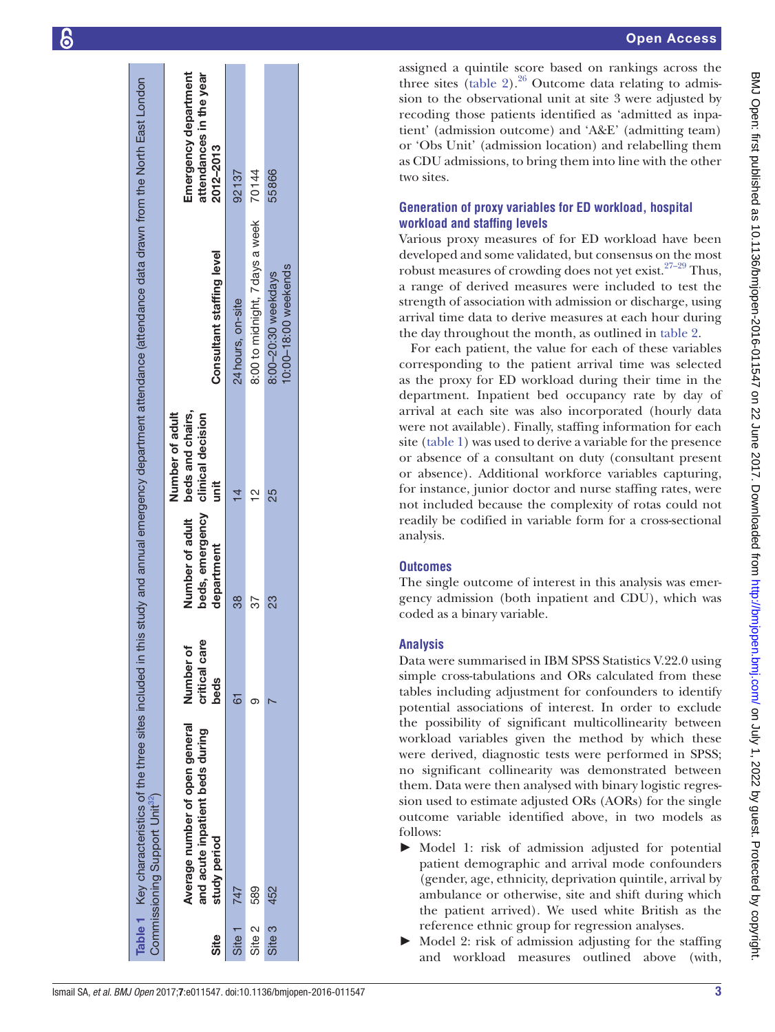| <b>Open Access</b> |  |  |  |  |  |  |  |  |
|--------------------|--|--|--|--|--|--|--|--|
|--------------------|--|--|--|--|--|--|--|--|

assigned a quintile score based on rankings across the three sites ([table](#page-3-0) 2). $26$  Outcome data relating to admission to the observational unit at site 3 were adjusted by recoding those patients identified as 'admitted as inpatient' (admission outcome) and 'A&E' (admitting team) or 'Obs Unit' (admission location) and relabelling them as CDU admissions, to bring them into line with the other two sites.

## **Generation of proxy variables for ED workload, hospital workload and staffing levels**

Various proxy measures of for ED workload have been developed and some validated, but consensus on the most robust measures of crowding does not yet exist.[27–29](#page-8-18) Thus, a range of derived measures were included to test the strength of association with admission or discharge, using arrival time data to derive measures at each hour during the day throughout the month, as outlined in [table](#page-3-0) 2 .

For each patient, the value for each of these variables corresponding to the patient arrival time was selected as the proxy for ED workload during their time in the department. Inpatient bed occupancy rate by day of arrival at each site was also incorporated (hourly data were not available). Finally, staffing information for each site ([table](#page-2-0) 1) was used to derive a variable for the presence or absence of a consultant on duty (consultant present or absence). Additional workforce variables capturing, for instance, junior doctor and nurse staffing rates, were not included because the complexity of rotas could not readily be codified in variable form for a cross-sectional analysis.

# **Outcomes**

The single outcome of interest in this analysis was emergency admission (both inpatient and CDU), which was coded as a binary variable.

# **Analysis**

Data were summarised in IBM SPSS Statistics V.22.0 using simple cross-tabulations and ORs calculated from these tables including adjustment for confounders to identify potential associations of interest. In order to exclude the possibility of significant multicollinearity between workload variables given the method by which these were derived, diagnostic tests were performed in SPSS; no significant collinearity was demonstrated between them. Data were then analysed with binary logistic regres sion used to estimate adjusted ORs (AORs) for the single outcome variable identified above, in two models as follows:

- ► Model 1: risk of admission adjusted for potential patient demographic and arrival mode confounders (gender, age, ethnicity, deprivation quintile, arrival by ambulance or otherwise, site and shift during which the patient arrived). We used white British as the reference ethnic group for regression analyses.
- <span id="page-2-0"></span>Model 2: risk of admission adjusting for the staffing and workload measures outlined above (with,

|        | Table 1 Key characteristics of the three sites included in this study and annual emergency department attendance (attendance data drawn from the North East London<br>Commissioning Support Unit <sup>32</sup> |                                    |                                                                                     |                         |                                             |                                                              |
|--------|----------------------------------------------------------------------------------------------------------------------------------------------------------------------------------------------------------------|------------------------------------|-------------------------------------------------------------------------------------|-------------------------|---------------------------------------------|--------------------------------------------------------------|
| Site   | Average number of open general<br>and acute inpatient beds during<br>study period                                                                                                                              | critical care<br>Number of<br>beds | Number of adult beds and chairs,<br>beds, emergency clinical decision<br>department | Number of adult<br>ight | Consultant staffing level                   | Emergency department<br>attendances in the year<br>2012-2013 |
| Site 1 | 747                                                                                                                                                                                                            | ்                                  | 38                                                                                  |                         | 24 hours, on-site                           | 92137                                                        |
| Site 2 | 589                                                                                                                                                                                                            |                                    | 37                                                                                  | $\tilde{c}$             | 8:00 to midnight, 7 days a week 70 144      |                                                              |
| Site 3 | 452                                                                                                                                                                                                            |                                    | 23                                                                                  | 25                      | 10:00-18:00 weekends<br>8:00-20:30 weekdays | 55866                                                        |
|        |                                                                                                                                                                                                                |                                    |                                                                                     |                         |                                             |                                                              |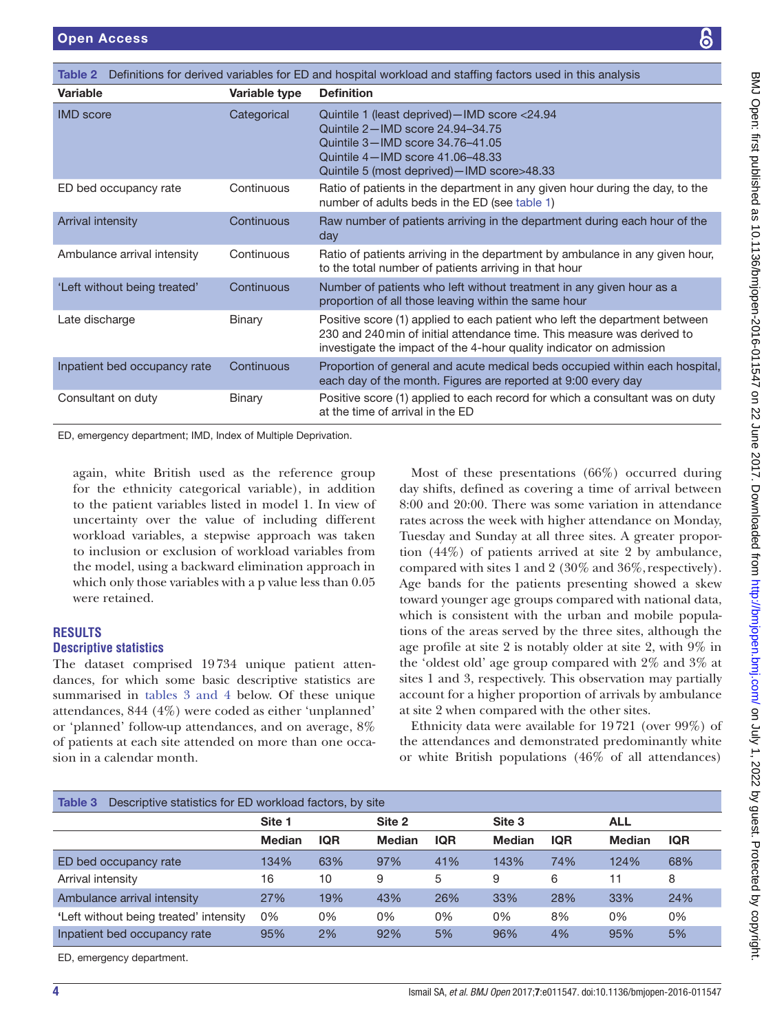<span id="page-3-0"></span>

| Table 2                      |               | Definitions for derived variables for ED and hospital workload and staffing factors used in this analysis                                                                                                                    |
|------------------------------|---------------|------------------------------------------------------------------------------------------------------------------------------------------------------------------------------------------------------------------------------|
| Variable                     | Variable type | <b>Definition</b>                                                                                                                                                                                                            |
| <b>IMD</b> score             | Categorical   | Quintile 1 (least deprived)-IMD score <24.94<br>Quintile 2-IMD score 24.94-34.75<br>Quintile 3-IMD score 34.76-41.05<br>Quintile 4 – IMD score 41.06-48.33<br>Quintile 5 (most deprived)-IMD score>48.33                     |
| ED bed occupancy rate        | Continuous    | Ratio of patients in the department in any given hour during the day, to the<br>number of adults beds in the ED (see table 1)                                                                                                |
| Arrival intensity            | Continuous    | Raw number of patients arriving in the department during each hour of the<br>day                                                                                                                                             |
| Ambulance arrival intensity  | Continuous    | Ratio of patients arriving in the department by ambulance in any given hour,<br>to the total number of patients arriving in that hour                                                                                        |
| 'Left without being treated' | Continuous    | Number of patients who left without treatment in any given hour as a<br>proportion of all those leaving within the same hour                                                                                                 |
| Late discharge               | Binary        | Positive score (1) applied to each patient who left the department between<br>230 and 240 min of initial attendance time. This measure was derived to<br>investigate the impact of the 4-hour quality indicator on admission |
| Inpatient bed occupancy rate | Continuous    | Proportion of general and acute medical beds occupied within each hospital,<br>each day of the month. Figures are reported at 9:00 every day                                                                                 |
| Consultant on duty           | Binary        | Positive score (1) applied to each record for which a consultant was on duty<br>at the time of arrival in the FD                                                                                                             |

ED, emergency department; IMD, Index of Multiple Deprivation.

again, white British used as the reference group for the ethnicity categorical variable), in addition to the patient variables listed in model 1. In view of uncertainty over the value of including different workload variables, a stepwise approach was taken to inclusion or exclusion of workload variables from the model, using a backward elimination approach in which only those variables with a p value less than 0.05 were retained.

## **Results Descriptive statistics**

The dataset comprised 19734 unique patient attendances, for which some basic descriptive statistics are summarised in tables [3 and 4](#page-3-1) below. Of these unique attendances, 844 (4%) were coded as either 'unplanned' or 'planned' follow-up attendances, and on average, 8% of patients at each site attended on more than one occasion in a calendar month.

Most of these presentations (66%) occurred during day shifts, defined as covering a time of arrival between 8:00 and 20:00. There was some variation in attendance rates across the week with higher attendance on Monday, Tuesday and Sunday at all three sites. A greater proportion (44%) of patients arrived at site 2 by ambulance, compared with sites 1 and 2 (30% and 36%, respectively). Age bands for the patients presenting showed a skew toward younger age groups compared with national data, which is consistent with the urban and mobile populations of the areas served by the three sites, although the age profile at site 2 is notably older at site 2, with 9% in the 'oldest old' age group compared with 2% and 3% at sites 1 and 3, respectively. This observation may partially account for a higher proportion of arrivals by ambulance at site 2 when compared with the other sites.

Ethnicity data were available for 19721 (over 99%) of the attendances and demonstrated predominantly white or white British populations (46% of all attendances)

<span id="page-3-1"></span>

| Table 3<br>Descriptive statistics for ED workload factors, by site |               |            |               |            |               |            |               |            |
|--------------------------------------------------------------------|---------------|------------|---------------|------------|---------------|------------|---------------|------------|
|                                                                    | Site 1        |            | Site 2        |            | Site 3        |            | <b>ALL</b>    |            |
|                                                                    | <b>Median</b> | <b>IQR</b> | <b>Median</b> | <b>IQR</b> | <b>Median</b> | <b>IQR</b> | <b>Median</b> | <b>IQR</b> |
| ED bed occupancy rate                                              | 134%          | 63%        | 97%           | 41%        | 143%          | 74%        | 124%          | 68%        |
| Arrival intensity                                                  | 16            | 10         | 9             | 5          | 9             | 6          | 11            | 8          |
| Ambulance arrival intensity                                        | 27%           | 19%        | 43%           | 26%        | 33%           | 28%        | 33%           | 24%        |
| 'Left without being treated' intensity                             | 0%            | 0%         | 0%            | 0%         | 0%            | 8%         | 0%            | 0%         |
| Inpatient bed occupancy rate                                       | 95%           | 2%         | 92%           | 5%         | 96%           | 4%         | 95%           | 5%         |

ED, emergency department.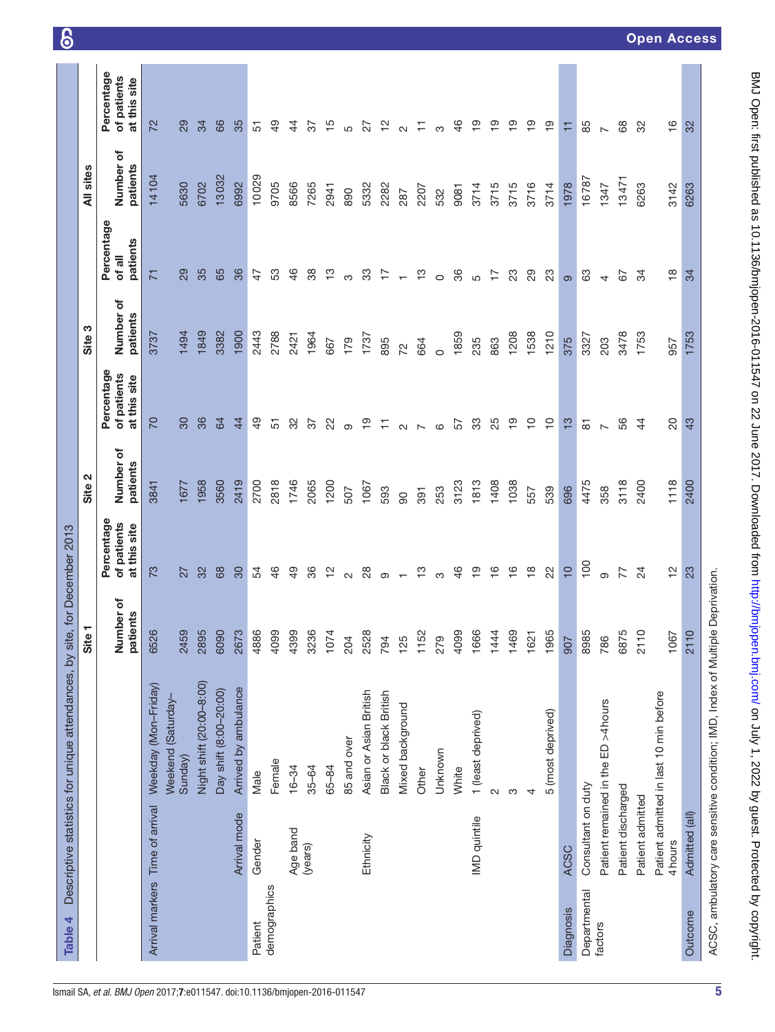<span id="page-4-0"></span>

| Table 4          |                                 | Descriptive statistics for unique attendances, by sit                          |                       | e, for December 2013                      |                       |                                           |                       |                                  |                       |                                           |
|------------------|---------------------------------|--------------------------------------------------------------------------------|-----------------------|-------------------------------------------|-----------------------|-------------------------------------------|-----------------------|----------------------------------|-----------------------|-------------------------------------------|
|                  |                                 |                                                                                | ٣<br>Site             |                                           | N<br>Site             |                                           | Site 3                |                                  | All sites             |                                           |
|                  |                                 |                                                                                | Number of<br>patients | Percentage<br>of patients<br>at this site | Number of<br>patients | Percentage<br>of patients<br>at this site | Number of<br>patients | Percentage<br>patients<br>of all | Number of<br>patients | Percentage<br>of patients<br>at this site |
|                  | Arrival markers Time of arrival | Weekday (Mon-Friday)                                                           | 6526                  | 73                                        | 3841                  | 20                                        | 3737                  | $\overline{7}$                   | 14104                 | 72                                        |
|                  |                                 | Weekend (Saturday-<br>Sunday)                                                  | 2459                  | 27                                        | 1677                  | 30                                        | 1494                  | 29                               | 5630                  | 82                                        |
|                  |                                 | Night shift (20:00-8:00)                                                       | 2895                  | 32                                        | 1958                  | 36                                        | 1849                  | 35                               | 6702                  | 34                                        |
|                  |                                 | Day shift (8:00-20:00)                                                         | 6090                  | 68                                        | 3560                  | 64                                        | 3382                  | 65                               | 13032                 | 89                                        |
|                  | Arrival mode                    | Arrived by ambulance                                                           | 2673                  | 30                                        | 2419                  | 44                                        | 1900                  | 36                               | 6992                  | 35                                        |
| Patient          | Gender                          | Male                                                                           | 4886                  | 54                                        | 2700                  | $\overline{6}$                            | 2443                  | 47                               | 10029                 | 51                                        |
| demographics     |                                 | Female                                                                         | 4099                  | $\frac{4}{6}$                             | 2818                  | 51                                        | 2788                  | 53                               | 9705                  | $\overline{6}$                            |
|                  | Age band                        | $16 - 34$                                                                      | 4399                  | $\overline{6}$                            | 1746                  | 32                                        | 2421                  | 46                               | 8566                  | $\overline{4}$                            |
|                  | (years)                         | $35 - 64$                                                                      | 3236                  | 86                                        | 2065                  | 57                                        | 1964                  | 38                               | 7265                  | 57                                        |
|                  |                                 | 65-84                                                                          | 1074                  | $\frac{1}{2}$                             | 1200                  | 22                                        | 667                   | $\frac{1}{2}$                    | 2941                  | $\frac{5}{1}$                             |
|                  |                                 | 85 and over                                                                    | 204                   | $\sim$                                    | 507                   | တ                                         | 179                   | က                                | 890                   | 5                                         |
|                  | Ethnicity                       | Asian or Asian British                                                         |                       | 28                                        | 1067                  | စ္                                        | 1737                  | 33                               | 5332                  | 27                                        |
|                  |                                 | Black or black British                                                         | 2528<br>794<br>125    | ၜ                                         | 593                   | Ξ                                         | 895                   | F                                | 2282                  | $\frac{1}{2}$                             |
|                  |                                 | Mixed background                                                               |                       | $\blacksquare$                            | 90                    | $\sim$                                    | 72                    |                                  | 287                   | $\sim$                                    |
|                  |                                 | Other                                                                          | 1152<br>279           | င္                                        | 391                   |                                           | 664                   | င္                               | 2207                  | Ξ                                         |
|                  |                                 | Unknown                                                                        |                       | က                                         | 253                   | $\circ$                                   | $\circ$               | $\circ$                          | 532                   | က                                         |
|                  |                                 | White                                                                          | 4099                  | 46                                        | 3123                  | 57                                        | 1859                  | 86                               | 9081                  | 46                                        |
|                  | IMD quintile                    | 1 (least deprived)                                                             | 1666                  | $\frac{1}{2}$                             | 1813                  | 33                                        | 235                   | 5                                | 3714                  | $\overline{0}$                            |
|                  |                                 | $\sim$                                                                         | 1444                  | $\frac{6}{1}$                             | 1408                  | 25                                        | 863                   | 7                                | 3715                  | $\overline{e}$                            |
|                  |                                 | S                                                                              | 1469                  | $\frac{6}{1}$                             | 1038                  | စ္                                        | 1208                  | SS.                              | 3715                  | $\overline{0}$                            |
|                  |                                 | 4                                                                              | 1621                  | $\frac{\infty}{1}$                        | 557                   | $\frac{1}{\tau}$                          | 1538                  | 88                               | 3716                  | စ္                                        |
|                  |                                 | 5 (most deprived)                                                              | 1965                  | 22                                        | 539                   | $\frac{1}{\sqrt{2}}$                      | 1210                  | 23                               | 3714                  | $\frac{1}{2}$                             |
| <b>Diagnosis</b> | <b>ACSC</b>                     |                                                                                | 907                   | $\overline{C}$                            | 696                   | $\frac{1}{2}$                             | 375                   | တ                                | 1978                  | Ξ                                         |
| Departmental     | Consultant on duty              |                                                                                | 8985                  | $\frac{100}{2}$                           | 4475                  | $\overline{\infty}$                       | 3327                  | 83                               | 16787                 | 85                                        |
| factors          |                                 | Patient remained in the ED >4 hours                                            | 786                   | တ                                         | 358                   | $\sim$                                    | 203                   | 4                                | 1347                  | $\overline{\phantom{a}}$                  |
|                  | Patient discharged              |                                                                                | 6875                  | 77                                        | 3118                  | 56                                        | 3478                  | 67                               | 13471                 | 89                                        |
|                  | Patient admitted                |                                                                                | 2110                  | 24                                        | 2400                  | 44                                        | 1753                  | 34                               | 6263                  | 32                                        |
|                  | 4hours                          | Patient admitted in last 10 min before                                         | 1067                  | $\frac{1}{2}$                             | 1118                  | $\overline{c}$                            | 957                   | $\frac{\infty}{\tau}$            | 3142                  | $\frac{6}{1}$                             |
| Outcome          | Admitted (all)                  |                                                                                | 2110                  | 23                                        | 2400                  | 43                                        | 1753                  | 34                               | 6263                  | 32                                        |
|                  |                                 | ACSC, ambulatory care sensitive condition; IMD, Index of Multiple Deprivation. |                       |                                           |                       |                                           |                       |                                  |                       |                                           |

 $\delta$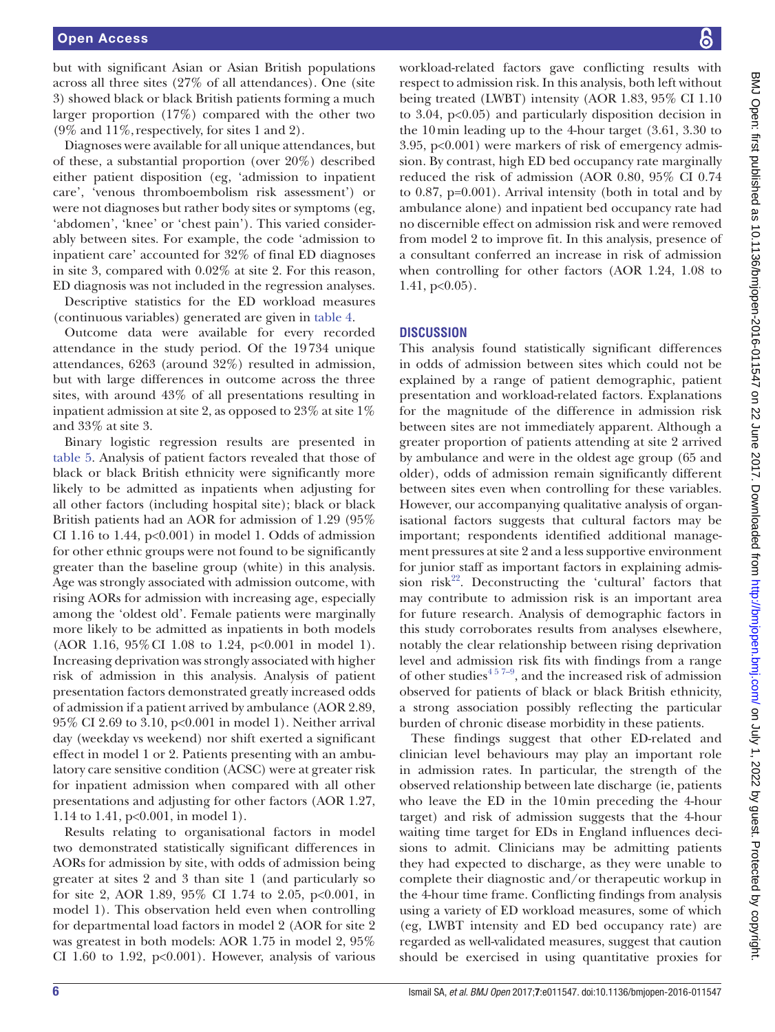but with significant Asian or Asian British populations across all three sites (27% of all attendances). One (site 3) showed black or black British patients forming a much larger proportion (17%) compared with the other two (9% and 11%, respectively, for sites 1 and 2).

Diagnoses were available for all unique attendances, but of these, a substantial proportion (over 20%) described either patient disposition (eg, 'admission to inpatient care', 'venous thromboembolism risk assessment') or were not diagnoses but rather body sites or symptoms (eg, 'abdomen', 'knee' or 'chest pain'). This varied considerably between sites. For example, the code 'admission to inpatient care' accounted for 32% of final ED diagnoses in site 3, compared with 0.02% at site 2. For this reason, ED diagnosis was not included in the regression analyses.

Descriptive statistics for the ED workload measures (continuous variables) generated are given in [table](#page-4-0) 4.

Outcome data were available for every recorded attendance in the study period. Of the 19734 unique attendances, 6263 (around 32%) resulted in admission, but with large differences in outcome across the three sites, with around 43% of all presentations resulting in inpatient admission at site 2, as opposed to 23% at site 1% and 33% at site 3.

Binary logistic regression results are presented in [table](#page-6-0) 5. Analysis of patient factors revealed that those of black or black British ethnicity were significantly more likely to be admitted as inpatients when adjusting for all other factors (including hospital site); black or black British patients had an AOR for admission of 1.29 (95% CI 1.16 to 1.44,  $p<0.001$  in model 1. Odds of admission for other ethnic groups were not found to be significantly greater than the baseline group (white) in this analysis. Age was strongly associated with admission outcome, with rising AORs for admission with increasing age, especially among the 'oldest old'. Female patients were marginally more likely to be admitted as inpatients in both models (AOR 1.16, 95%CI 1.08 to 1.24, p<0.001 in model 1). Increasing deprivation was strongly associated with higher risk of admission in this analysis. Analysis of patient presentation factors demonstrated greatly increased odds of admission if a patient arrived by ambulance (AOR 2.89, 95% CI 2.69 to 3.10, p<0.001 in model 1). Neither arrival day (weekday vs weekend) nor shift exerted a significant effect in model 1 or 2. Patients presenting with an ambulatory care sensitive condition (ACSC) were at greater risk for inpatient admission when compared with all other presentations and adjusting for other factors (AOR 1.27, 1.14 to 1.41, p<0.001, in model 1).

Results relating to organisational factors in model two demonstrated statistically significant differences in AORs for admission by site, with odds of admission being greater at sites 2 and 3 than site 1 (and particularly so for site 2, AOR 1.89, 95% CI 1.74 to 2.05, p<0.001, in model 1). This observation held even when controlling for departmental load factors in model 2 (AOR for site 2 was greatest in both models: AOR 1.75 in model 2, 95% CI 1.60 to 1.92,  $p<0.001$ ). However, analysis of various

workload-related factors gave conflicting results with respect to admission risk. In this analysis, both left without being treated (LWBT) intensity (AOR 1.83, 95% CI 1.10 to 3.04, p<0.05) and particularly disposition decision in the 10min leading up to the 4-hour target (3.61, 3.30 to 3.95, p<0.001) were markers of risk of emergency admission. By contrast, high ED bed occupancy rate marginally reduced the risk of admission (AOR 0.80, 95% CI 0.74 to 0.87, p=0.001). Arrival intensity (both in total and by ambulance alone) and inpatient bed occupancy rate had no discernible effect on admission risk and were removed from model 2 to improve fit. In this analysis, presence of a consultant conferred an increase in risk of admission when controlling for other factors (AOR 1.24, 1.08 to  $1.41, p<0.05$ ).

## **Discussion**

This analysis found statistically significant differences in odds of admission between sites which could not be explained by a range of patient demographic, patient presentation and workload-related factors. Explanations for the magnitude of the difference in admission risk between sites are not immediately apparent. Although a greater proportion of patients attending at site 2 arrived by ambulance and were in the oldest age group (65 and older), odds of admission remain significantly different between sites even when controlling for these variables. However, our accompanying qualitative analysis of organisational factors suggests that cultural factors may be important; respondents identified additional management pressures at site 2 and a less supportive environment for junior staff as important factors in explaining admission risk<sup>22</sup>. Deconstructing the 'cultural' factors that may contribute to admission risk is an important area for future research. Analysis of demographic factors in this study corroborates results from analyses elsewhere, notably the clear relationship between rising deprivation level and admission risk fits with findings from a range of other studies<sup>457-9</sup>, and the increased risk of admission observed for patients of black or black British ethnicity, a strong association possibly reflecting the particular burden of chronic disease morbidity in these patients.

These findings suggest that other ED-related and clinician level behaviours may play an important role in admission rates. In particular, the strength of the observed relationship between late discharge (ie, patients who leave the ED in the 10min preceding the 4-hour target) and risk of admission suggests that the 4-hour waiting time target for EDs in England influences decisions to admit. Clinicians may be admitting patients they had expected to discharge, as they were unable to complete their diagnostic and/or therapeutic workup in the 4-hour time frame. Conflicting findings from analysis using a variety of ED workload measures, some of which (eg, LWBT intensity and ED bed occupancy rate) are regarded as well-validated measures, suggest that caution should be exercised in using quantitative proxies for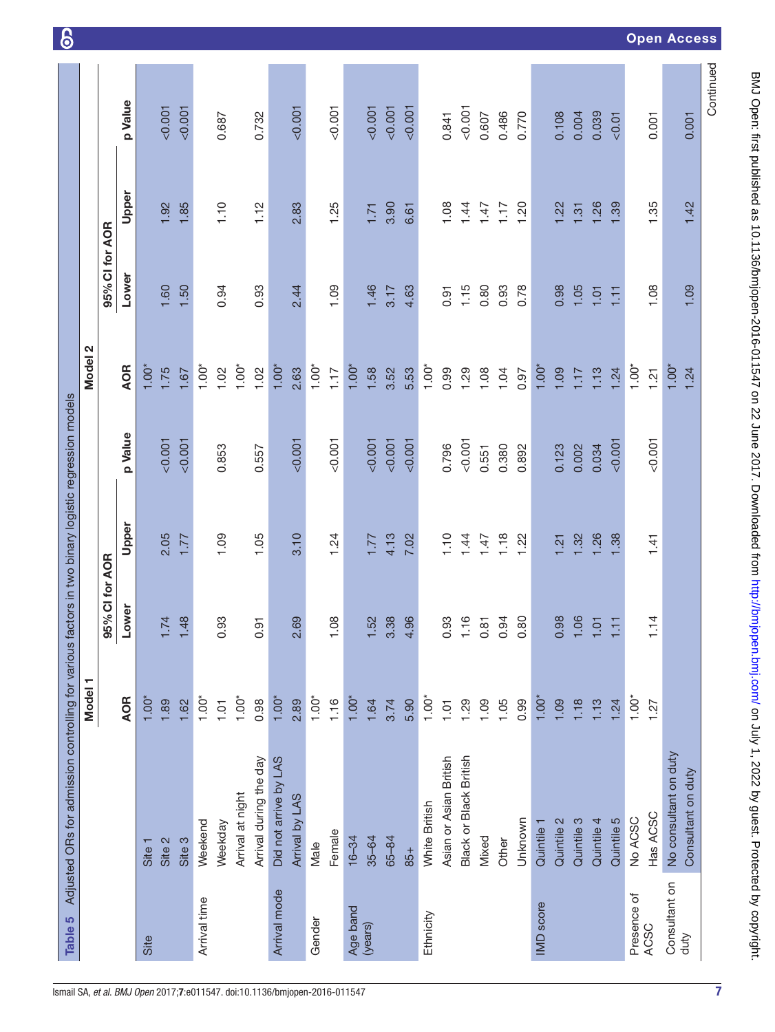| Table 5       | Adjusted ORs for admission controlling for various factors in two binary logistic regression models | Model <sub>1</sub> |                                            |       |         | Model 2    |                |       |           |
|---------------|-----------------------------------------------------------------------------------------------------|--------------------|--------------------------------------------|-------|---------|------------|----------------|-------|-----------|
|               |                                                                                                     |                    | 95% CI for AOR                             |       |         |            | 95% CI for AOR |       |           |
|               |                                                                                                     | <b>AOR</b>         | Lower                                      | Upper | p Value | <b>AOR</b> | Lower          | Upper | p Value   |
| Site          | Site <sub>1</sub>                                                                                   | $1.00*$            |                                            |       |         | $1.00*$    |                |       |           |
|               | Site 2                                                                                              | 1.89               | 1.74                                       | 2.05  | 0.001   | 1.75       | 1.60           | 1.92  | 0.001     |
|               | Site <sub>3</sub>                                                                                   | 1.62               | 1.48                                       | 1.77  | 0.001   | 1.67       | 1.50           | 1.85  | 0.001     |
| Arrival time  | Weekend                                                                                             | $1.00*$            |                                            |       |         | $1.00*$    |                |       |           |
|               | Weekday                                                                                             | 1.01               | SS<br>$\ddot{\circ}$                       | 1.09  | 0.853   | 1.02       | 0.94           | 1.10  | 0.687     |
|               | Arrival at night                                                                                    | $1.00*$            |                                            |       |         | $1.00*$    |                |       |           |
|               | Arrival during the day                                                                              | 0.98               | 5<br>$\ddot{\circ}$                        | 1.05  | 0.557   | 1.02       | 0.93           | 1.12  | 0.732     |
| Arrival mode  | Did not arrive by LAS                                                                               | $1.00*$            |                                            |       |         | $1.00*$    |                |       |           |
|               | Arrival by LAS                                                                                      | 2.89               | 69<br>$\bar{\mathsf{N}}$                   | 3.10  | 0.001   | 2.63       | 2.44           | 2.83  | 0.001     |
| Gender        | Male                                                                                                | $1.00*$            |                                            |       |         | $1.00*$    |                |       |           |
|               | Female                                                                                              | 1.16               | $\overline{0}$<br>$\overline{\phantom{0}}$ | 1.24  | < 0.001 | 1.17       | 1.09           | 1.25  | 0.001     |
| Age band      | $16 - 34$                                                                                           | $1.00*$            |                                            |       |         | $1.00*$    |                |       |           |
| (years)       | $35 - 64$                                                                                           | 1.64               | 1.52                                       | 1.77  | 0.001   | 1.58       | 1.46           | 1.71  | 0.001     |
|               | 65-84                                                                                               | 3.74               | 3.38                                       | 4.13  | < 0.001 | 3.52       | 3.17           | 3.90  | < 0.001   |
|               | 85+                                                                                                 | 5.90               | 96<br>$\frac{1}{4}$                        | 7.02  | < 0.001 | 5.53       | 4.63           | 6.61  | < 0.001   |
| Ethnicity     | White British                                                                                       | $1.00*$            |                                            |       |         | $1.00*$    |                |       |           |
|               | Asian or Asian British                                                                              | 1.01               | 93<br>$\ddot{\circ}$                       | 1.10  | 0.796   | 0.99       | 0.91           | 1.08  | 0.841     |
|               | Black or Black British                                                                              | 1.29               | 1.16                                       | 1.44  | < 0.001 | 1.29       | 1.15           | 1.44  | < 0.001   |
|               | Mixed                                                                                               | 1.09               | $\overline{8}$<br>$\ddot{\circ}$           | 1.47  | 0.551   | 1.08       | 0.80           | 1.47  | 0.607     |
|               | Other                                                                                               | 1.05               | $\mathfrak{B}$<br>$\ddot{\circ}$           | 1.18  | 0.380   | 1.04       | 0.93           | 1.17  | 0.486     |
|               | Unknown                                                                                             | 0.99               | 80<br>$\dot{\circ}$                        | 1.22  | 0.892   | 0.97       | 0.78           | 1.20  | 0.770     |
| IMD score     | Quintile 1                                                                                          | $1.00*$            |                                            |       |         | $1.00*$    |                |       |           |
|               | Quintile 2                                                                                          | 1.09               | 86<br>$\ddot{\circ}$                       | 1.21  | 0.123   | 1.09       | 0.98           | 1.22  | 0.108     |
|               | Quintile 3                                                                                          | 1.18               | 1.06                                       | 1.32  | 0.002   | 1.17       | 1.05           | 1.31  | 0.004     |
|               | Quintile 4                                                                                          | 1.13               | 1.01                                       | 1.26  | 0.034   | 1.13       | 1.01           | 1.26  | 0.039     |
|               | Quintile 5                                                                                          | 1.24               | Ξ<br>÷                                     | 1.38  | 0.001   | 1.24       | 1.11           | .39   | $-0.01$   |
| Presence of   | No ACSC                                                                                             | $1.00*$            |                                            |       |         | $1.00*$    |                |       |           |
| <b>ACSC</b>   | Has ACSC                                                                                            | 1.27               | 1.14                                       | 1.41  | < 0.001 | 1.21       | 1.08           | 1.35  | 0.001     |
| Consultant on | No consultant on duty                                                                               |                    |                                            |       |         | $1.00^*$   |                |       |           |
| duty          | Consultant on duty                                                                                  |                    |                                            |       |         | 1.24       | 1.09           | 1.42  | 0.001     |
|               |                                                                                                     |                    |                                            |       |         |            |                |       | Continued |

**I** A

<span id="page-6-0"></span>7

Open Access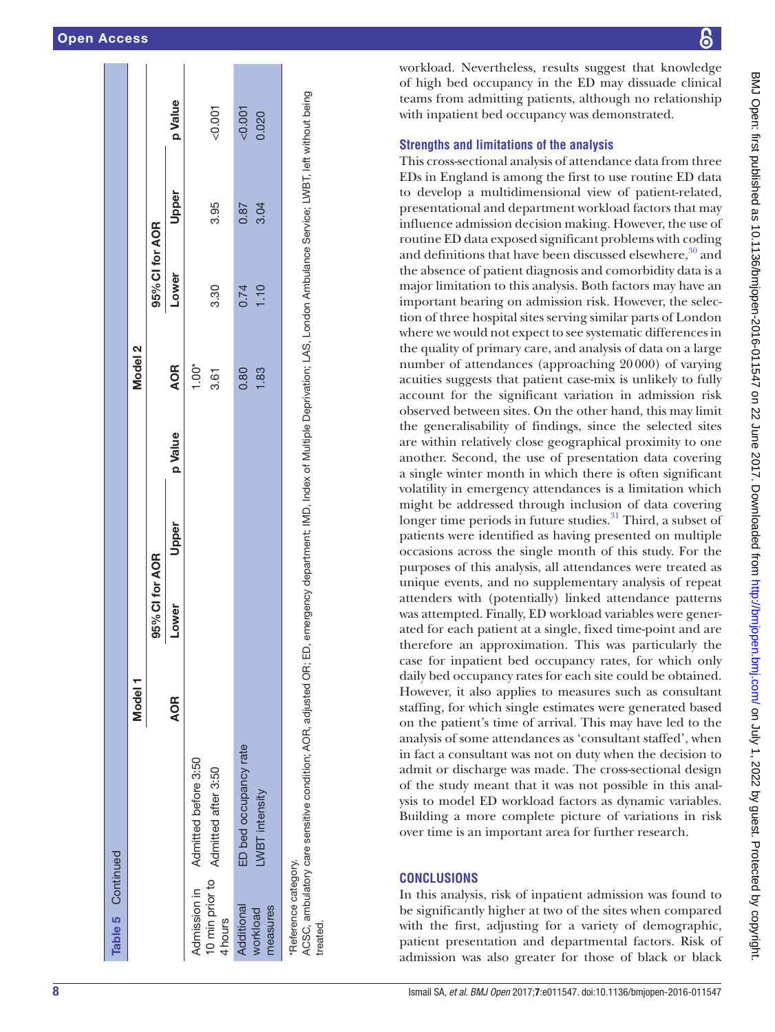|                            |                                                                                                                                                                                             | Model 1    |                |       |         | Model <sub>2</sub> |                |       |         |
|----------------------------|---------------------------------------------------------------------------------------------------------------------------------------------------------------------------------------------|------------|----------------|-------|---------|--------------------|----------------|-------|---------|
|                            |                                                                                                                                                                                             |            | 95% CI for AOR |       |         |                    | 95% CI for AOR |       |         |
|                            |                                                                                                                                                                                             | <b>AOR</b> | Lower          | Upper | p Value | <b>AOR</b>         | Lower          | Upper | p Value |
|                            | Admission in Admitted before 3:50                                                                                                                                                           |            |                |       |         | $1.00*$            |                |       |         |
| 10 min prior to<br>4 hours | Admitted after 3:50                                                                                                                                                                         |            |                |       |         | 3.61               | 3.30           | 3.95  | &0.001  |
| Additional<br>workload     | ED bed occupancy rate                                                                                                                                                                       |            |                |       |         | 0.80               | 0.74           | 0.87  | &0.001  |
| measures                   | LWBT intensity                                                                                                                                                                              |            |                |       |         | 1.83               | 1.10           | 3.04  | 0.020   |
| *Reference category.       | Anistic Constitution ACD - All of ACD EN amouncements in the lader that are withing Deviceit AC LAGE Anison Constitution Online Constitution ACD - ACL Different Prince Online Constitution |            |                |       |         |                    |                |       |         |

ACSC, ambulatory care sensitive condition; AOR, adjusted OR; ED, emergency department; IMD, Index of Multiple Deprivation; LAS, London Ambulance Service; LWBT, left without being treated. 2<br>N

workload. Nevertheless, results suggest that knowledge of high bed occupancy in the ED may dissuade clinical teams from admitting patients, although no relationship with inpatient bed occupancy was demonstrated.

# **Strengths and limitations of the analysis**

This cross-sectional analysis of attendance data from three EDs in England is among the first to use routine ED data to develop a multidimensional view of patient-related, presentational and department workload factors that may influence admission decision making. However, the use of routine ED data exposed significant problems with coding and definitions that have been discussed elsewhere,  $30$  and the absence of patient diagnosis and comorbidity data is a major limitation to this analysis. Both factors may have an important bearing on admission risk. However, the selec tion of three hospital sites serving similar parts of London where we would not expect to see systematic differences in the quality of primary care, and analysis of data on a large number of attendances (approaching 20000) of varying acuities suggests that patient case-mix is unlikely to fully account for the significant variation in admission risk observed between sites. On the other hand, this may limit the generalisability of findings, since the selected sites are within relatively close geographical proximity to one another. Second, the use of presentation data covering a single winter month in which there is often significant volatility in emergency attendances is a limitation which might be addressed through inclusion of data covering longer time periods in future studies.<sup>[31](#page-8-21)</sup> Third, a subset of patients were identified as having presented on multiple occasions across the single month of this study. For the purposes of this analysis, all attendances were treated as unique events, and no supplementary analysis of repeat attenders with (potentially) linked attendance patterns was attempted. Finally, ED workload variables were generated for each patient at a single, fixed time-point and are therefore an approximation. This was particularly the case for inpatient bed occupancy rates, for which only daily bed occupancy rates for each site could be obtained. However, it also applies to measures such as consultant staffing, for which single estimates were generated based on the patient's time of arrival. This may have led to the analysis of some attendances as 'consultant staffed', when in fact a consultant was not on duty when the decision to admit or discharge was made. The cross-sectional design of the study meant that it was not possible in this anal ysis to model ED workload factors as dynamic variables. Building a more complete picture of variations in risk over time is an important area for further research.

# **Conclusions**

In this analysis, risk of inpatient admission was found to be significantly higher at two of the sites when compared with the first, adjusting for a variety of demographic, patient presentation and departmental factors. Risk of admission was also greater for those of black or black